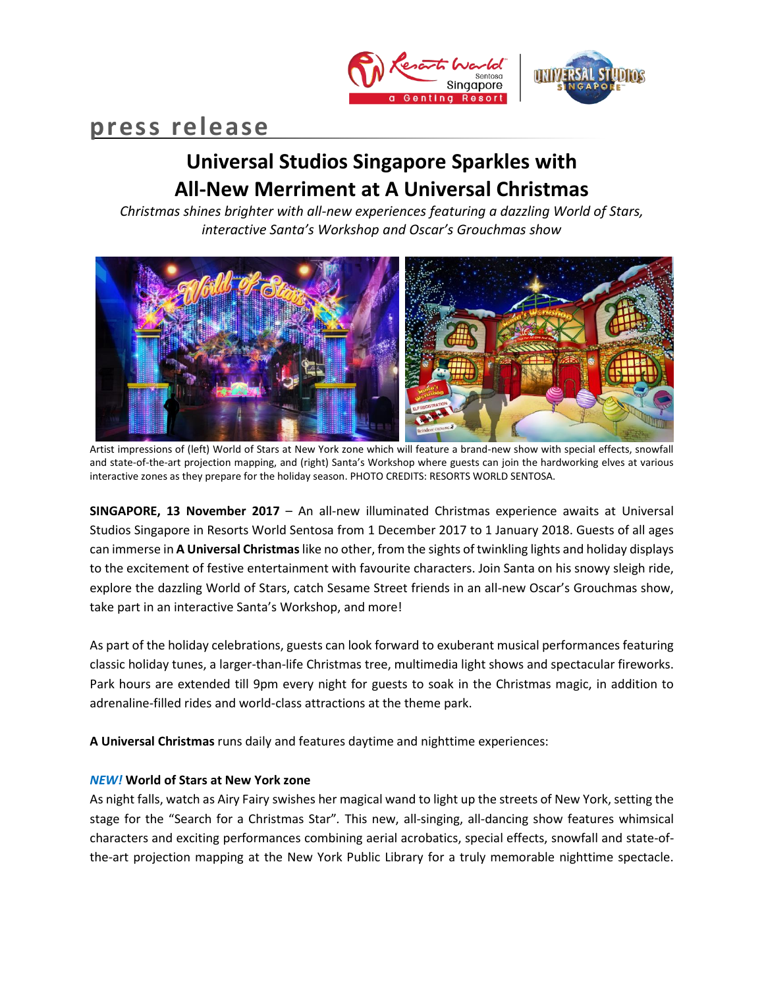



# **press release**

## **Universal Studios Singapore Sparkles with All-New Merriment at A Universal Christmas**

*Christmas shines brighter with all-new experiences featuring a dazzling World of Stars, interactive Santa's Workshop and Oscar's Grouchmas show*



Artist impressions of (left) World of Stars at New York zone which will feature a brand-new show with special effects, snowfall and state-of-the-art projection mapping, and (right) Santa's Workshop where guests can join the hardworking elves at various interactive zones as they prepare for the holiday season. PHOTO CREDITS: RESORTS WORLD SENTOSA.

**SINGAPORE, 13 November 2017** – An all-new illuminated Christmas experience awaits at Universal Studios Singapore in Resorts World Sentosa from 1 December 2017 to 1 January 2018. Guests of all ages can immerse in **A Universal Christmas**like no other, from the sights of twinkling lights and holiday displays to the excitement of festive entertainment with favourite characters. Join Santa on his snowy sleigh ride, explore the dazzling World of Stars, catch Sesame Street friends in an all-new Oscar's Grouchmas show, take part in an interactive Santa's Workshop, and more!

As part of the holiday celebrations, guests can look forward to exuberant musical performances featuring classic holiday tunes, a larger-than-life Christmas tree, multimedia light shows and spectacular fireworks. Park hours are extended till 9pm every night for guests to soak in the Christmas magic, in addition to adrenaline-filled rides and world-class attractions at the theme park.

**A Universal Christmas** runs daily and features daytime and nighttime experiences:

## *NEW!* **World of Stars at New York zone**

As night falls, watch as Airy Fairy swishes her magical wand to light up the streets of New York, setting the stage for the "Search for a Christmas Star"*.* This new, all-singing, all-dancing show features whimsical characters and exciting performances combining aerial acrobatics, special effects, snowfall and state-ofthe-art projection mapping at the New York Public Library for a truly memorable nighttime spectacle.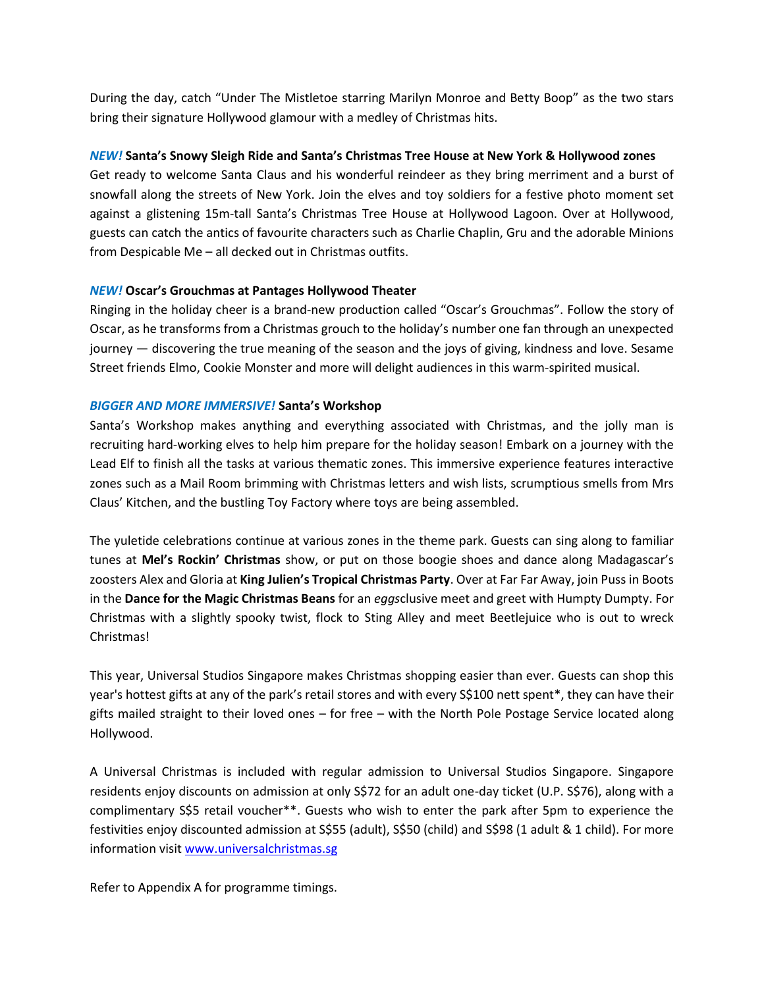During the day, catch "Under The Mistletoe starring Marilyn Monroe and Betty Boop" as the two stars bring their signature Hollywood glamour with a medley of Christmas hits.

## *NEW!* **Santa's Snowy Sleigh Ride and Santa's Christmas Tree House at New York & Hollywood zones**

Get ready to welcome Santa Claus and his wonderful reindeer as they bring merriment and a burst of snowfall along the streets of New York. Join the elves and toy soldiers for a festive photo moment set against a glistening 15m-tall Santa's Christmas Tree House at Hollywood Lagoon. Over at Hollywood, guests can catch the antics of favourite characters such as Charlie Chaplin, Gru and the adorable Minions from Despicable Me – all decked out in Christmas outfits.

## *NEW!* **Oscar's Grouchmas at Pantages Hollywood Theater**

Ringing in the holiday cheer is a brand-new production called "Oscar's Grouchmas". Follow the story of Oscar, as he transforms from a Christmas grouch to the holiday's number one fan through an unexpected journey — discovering the true meaning of the season and the joys of giving, kindness and love. Sesame Street friends Elmo, Cookie Monster and more will delight audiences in this warm-spirited musical.

## *BIGGER AND MORE IMMERSIVE!* **Santa's Workshop**

Santa's Workshop makes anything and everything associated with Christmas, and the jolly man is recruiting hard-working elves to help him prepare for the holiday season! Embark on a journey with the Lead Elf to finish all the tasks at various thematic zones. This immersive experience features interactive zones such as a Mail Room brimming with Christmas letters and wish lists, scrumptious smells from Mrs Claus' Kitchen, and the bustling Toy Factory where toys are being assembled.

The yuletide celebrations continue at various zones in the theme park. Guests can sing along to familiar tunes at **Mel's Rockin' Christmas** show, or put on those boogie shoes and dance along Madagascar's zoosters Alex and Gloria at **King Julien's Tropical Christmas Party**. Over at Far Far Away, join Puss in Boots in the **Dance for the Magic Christmas Beans** for an *eggs*clusive meet and greet with Humpty Dumpty. For Christmas with a slightly spooky twist, flock to Sting Alley and meet Beetlejuice who is out to wreck Christmas!

This year, Universal Studios Singapore makes Christmas shopping easier than ever. Guests can shop this year's hottest gifts at any of the park's retail stores and with every S\$100 nett spent\*, they can have their gifts mailed straight to their loved ones – for free – with the North Pole Postage Service located along Hollywood.

A Universal Christmas is included with regular admission to Universal Studios Singapore. Singapore residents enjoy discounts on admission at only S\$72 for an adult one-day ticket (U.P. S\$76), along with a complimentary S\$5 retail voucher\*\*. Guests who wish to enter the park after 5pm to experience the festivities enjoy discounted admission at S\$55 (adult), S\$50 (child) and S\$98 (1 adult & 1 child). For more information visit [www.universalchristmas.sg](http://www.universalchristmas.sg/)

Refer to Appendix A for programme timings.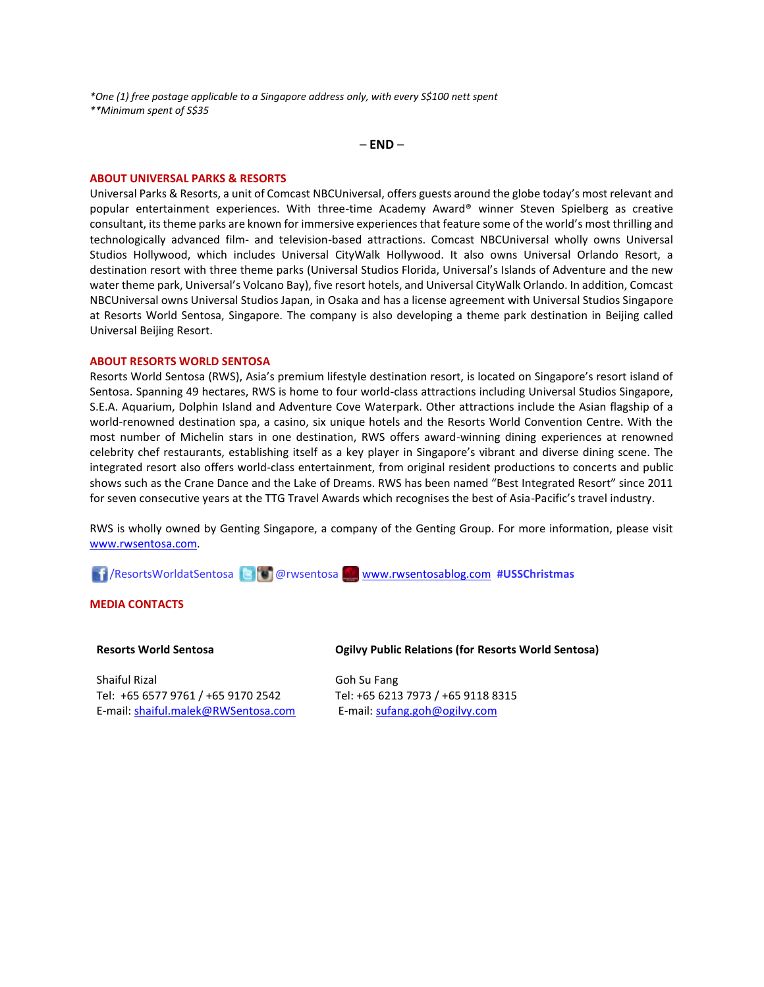*\*One (1) free postage applicable to a Singapore address only, with every S\$100 nett spent \*\*Minimum spent of S\$35*

– **END** –

#### **ABOUT UNIVERSAL PARKS & RESORTS**

Universal Parks & Resorts, a unit of Comcast NBCUniversal, offers guests around the globe today's most relevant and popular entertainment experiences. With three-time Academy Award® winner Steven Spielberg as creative consultant, its theme parks are known for immersive experiences that feature some of the world's most thrilling and technologically advanced film- and television-based attractions. Comcast NBCUniversal wholly owns Universal Studios Hollywood, which includes Universal CityWalk Hollywood. It also owns Universal Orlando Resort, a destination resort with three theme parks (Universal Studios Florida, Universal's Islands of Adventure and the new water theme park, Universal's Volcano Bay), five resort hotels, and Universal CityWalk Orlando. In addition, Comcast NBCUniversal owns Universal Studios Japan, in Osaka and has a license agreement with Universal Studios Singapore at Resorts World Sentosa, Singapore. The company is also developing a theme park destination in Beijing called Universal Beijing Resort.

#### **ABOUT RESORTS WORLD SENTOSA**

Resorts World Sentosa (RWS), Asia's premium lifestyle destination resort, is located on Singapore's resort island of Sentosa. Spanning 49 hectares, RWS is home to four world-class attractions including Universal Studios Singapore, S.E.A. Aquarium, Dolphin Island and Adventure Cove Waterpark. Other attractions include the Asian flagship of a world-renowned destination spa, a casino, six unique hotels and the Resorts World Convention Centre. With the most number of Michelin stars in one destination, RWS offers award-winning dining experiences at renowned celebrity chef restaurants, establishing itself as a key player in Singapore's vibrant and diverse dining scene. The integrated resort also offers world-class entertainment, from original resident productions to concerts and public shows such as the Crane Dance and the Lake of Dreams. RWS has been named "Best Integrated Resort" since 2011 for seven consecutive years at the TTG Travel Awards which recognises the best of Asia-Pacific's travel industry.

RWS is wholly owned by Genting Singapore, a company of the Genting Group. For more information, please visit [www.rwsentosa.com.](http://www.rwsentosa.com/)

/ResortsWorldatSentosa @rwsentosa [www.rwsentosablog.com](http://www.rwsentosablog.com/) **#USSChristmas**

#### **MEDIA CONTACTS**

#### **Resorts World Sentosa**

Shaiful Rizal Tel: +65 6577 9761 / +65 9170 2542 E-mail[: shaiful.malek@RWSentosa.com](mailto:loolin.chua@RWSentosa.com)

#### **Ogilvy Public Relations (for Resorts World Sentosa)**

Goh Su Fang Tel: +65 6213 7973 / +65 9118 8315 E-mail: [sufang.goh@ogilvy.com](mailto:sufang.goh@ogilvy.com)